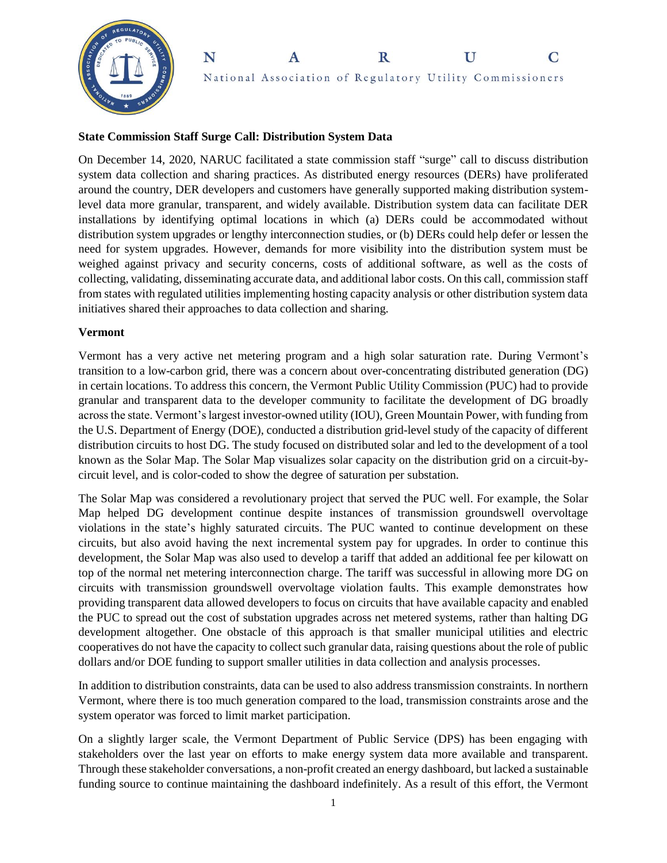



### **State Commission Staff Surge Call: Distribution System Data**

On December 14, 2020, NARUC facilitated a state commission staff "surge" call to discuss distribution system data collection and sharing practices. As distributed energy resources (DERs) have proliferated around the country, DER developers and customers have generally supported making distribution systemlevel data more granular, transparent, and widely available. Distribution system data can facilitate DER installations by identifying optimal locations in which (a) DERs could be accommodated without distribution system upgrades or lengthy interconnection studies, or (b) DERs could help defer or lessen the need for system upgrades. However, demands for more visibility into the distribution system must be weighed against privacy and security concerns, costs of additional software, as well as the costs of collecting, validating, disseminating accurate data, and additional labor costs. On this call, commission staff from states with regulated utilities implementing hosting capacity analysis or other distribution system data initiatives shared their approaches to data collection and sharing.

#### **Vermont**

Vermont has a very active net metering program and a high solar saturation rate. During Vermont's transition to a low-carbon grid, there was a concern about over-concentrating distributed generation (DG) in certain locations. To address this concern, the Vermont Public Utility Commission (PUC) had to provide granular and transparent data to the developer community to facilitate the development of DG broadly across the state. Vermont's largest investor-owned utility (IOU), Green Mountain Power, with funding from the U.S. Department of Energy (DOE), conducted a distribution grid-level study of the capacity of different distribution circuits to host DG. The study focused on distributed solar and led to the development of a tool known as the Solar Map. The Solar Map visualizes solar capacity on the distribution grid on a circuit-bycircuit level, and is color-coded to show the degree of saturation per substation.

The Solar Map was considered a revolutionary project that served the PUC well. For example, the Solar Map helped DG development continue despite instances of transmission groundswell overvoltage violations in the state's highly saturated circuits. The PUC wanted to continue development on these circuits, but also avoid having the next incremental system pay for upgrades. In order to continue this development, the Solar Map was also used to develop a tariff that added an additional fee per kilowatt on top of the normal net metering interconnection charge. The tariff was successful in allowing more DG on circuits with transmission groundswell overvoltage violation faults. This example demonstrates how providing transparent data allowed developers to focus on circuits that have available capacity and enabled the PUC to spread out the cost of substation upgrades across net metered systems, rather than halting DG development altogether. One obstacle of this approach is that smaller municipal utilities and electric cooperatives do not have the capacity to collect such granular data, raising questions about the role of public dollars and/or DOE funding to support smaller utilities in data collection and analysis processes.

In addition to distribution constraints, data can be used to also address transmission constraints. In northern Vermont, where there is too much generation compared to the load, transmission constraints arose and the system operator was forced to limit market participation.

On a slightly larger scale, the Vermont Department of Public Service (DPS) has been engaging with stakeholders over the last year on efforts to make energy system data more available and transparent. Through these stakeholder conversations, a non-profit created an energy dashboard, but lacked a sustainable funding source to continue maintaining the dashboard indefinitely. As a result of this effort, the Vermont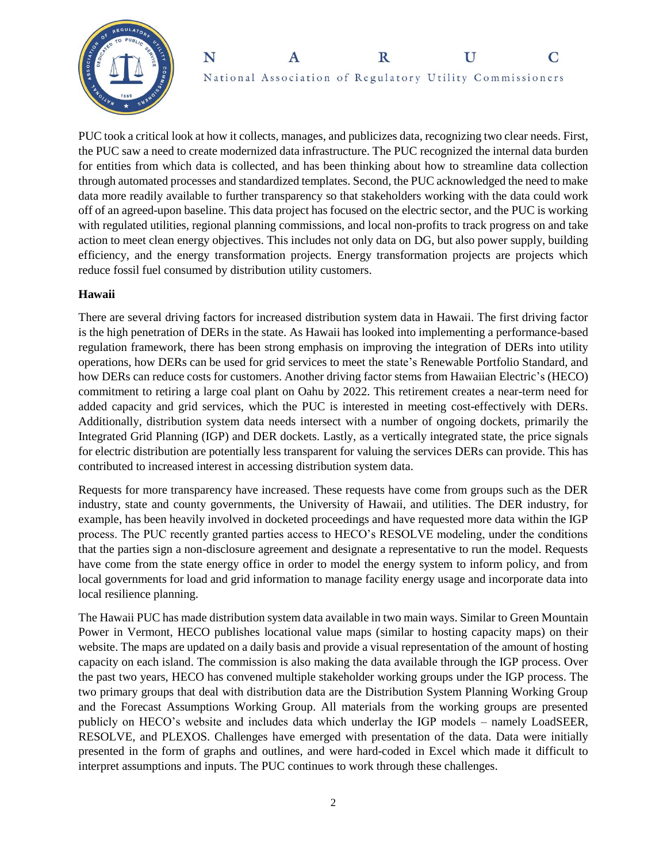



PUC took a critical look at how it collects, manages, and publicizes data, recognizing two clear needs. First, the PUC saw a need to create modernized data infrastructure. The PUC recognized the internal data burden for entities from which data is collected, and has been thinking about how to streamline data collection through automated processes and standardized templates. Second, the PUC acknowledged the need to make data more readily available to further transparency so that stakeholders working with the data could work off of an agreed-upon baseline. This data project has focused on the electric sector, and the PUC is working with regulated utilities, regional planning commissions, and local non-profits to track progress on and take action to meet clean energy objectives. This includes not only data on DG, but also power supply, building efficiency, and the energy transformation projects. Energy transformation projects are projects which reduce fossil fuel consumed by distribution utility customers.

## **Hawaii**

There are several driving factors for increased distribution system data in Hawaii. The first driving factor is the high penetration of DERs in the state. As Hawaii has looked into implementing a performance-based regulation framework, there has been strong emphasis on improving the integration of DERs into utility operations, how DERs can be used for grid services to meet the state's Renewable Portfolio Standard, and how DERs can reduce costs for customers. Another driving factor stems from Hawaiian Electric's (HECO) commitment to retiring a large coal plant on Oahu by 2022. This retirement creates a near-term need for added capacity and grid services, which the PUC is interested in meeting cost-effectively with DERs. Additionally, distribution system data needs intersect with a number of ongoing dockets, primarily the Integrated Grid Planning (IGP) and DER dockets. Lastly, as a vertically integrated state, the price signals for electric distribution are potentially less transparent for valuing the services DERs can provide. This has contributed to increased interest in accessing distribution system data.

Requests for more transparency have increased. These requests have come from groups such as the DER industry, state and county governments, the University of Hawaii, and utilities. The DER industry, for example, has been heavily involved in docketed proceedings and have requested more data within the IGP process. The PUC recently granted parties access to HECO's RESOLVE modeling, under the conditions that the parties sign a non-disclosure agreement and designate a representative to run the model. Requests have come from the state energy office in order to model the energy system to inform policy, and from local governments for load and grid information to manage facility energy usage and incorporate data into local resilience planning.

The Hawaii PUC has made distribution system data available in two main ways. Similar to Green Mountain Power in Vermont, HECO publishes locational value maps (similar to hosting capacity maps) on their website. The maps are updated on a daily basis and provide a visual representation of the amount of hosting capacity on each island. The commission is also making the data available through the IGP process. Over the past two years, HECO has convened multiple stakeholder working groups under the IGP process. The two primary groups that deal with distribution data are the Distribution System Planning Working Group and the Forecast Assumptions Working Group. All materials from the working groups are presented publicly on HECO's website and includes data which underlay the IGP models – namely LoadSEER, RESOLVE, and PLEXOS. Challenges have emerged with presentation of the data. Data were initially presented in the form of graphs and outlines, and were hard-coded in Excel which made it difficult to interpret assumptions and inputs. The PUC continues to work through these challenges.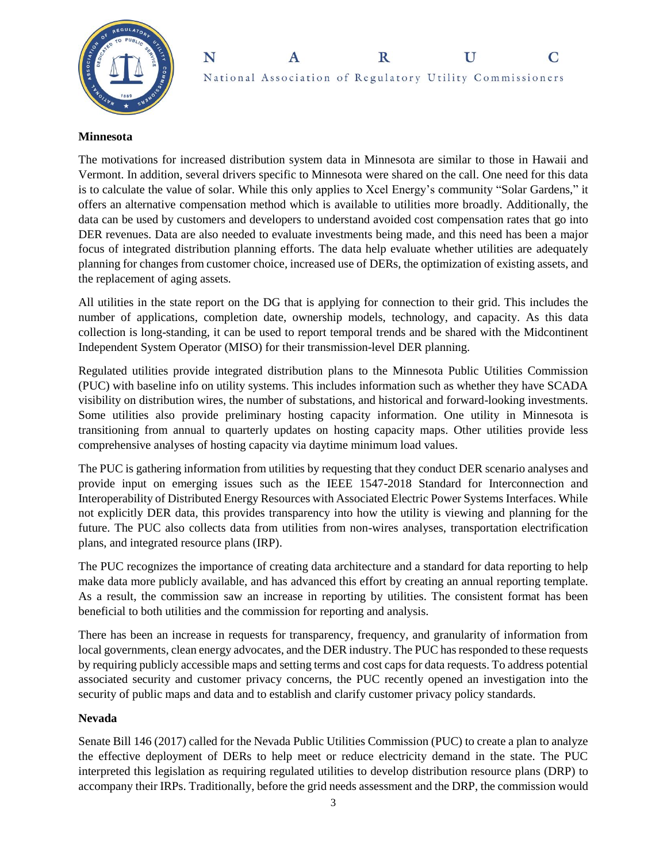



#### **Minnesota**

The motivations for increased distribution system data in Minnesota are similar to those in Hawaii and Vermont. In addition, several drivers specific to Minnesota were shared on the call. One need for this data is to calculate the value of solar. While this only applies to Xcel Energy's community "Solar Gardens," it offers an alternative compensation method which is available to utilities more broadly. Additionally, the data can be used by customers and developers to understand avoided cost compensation rates that go into DER revenues. Data are also needed to evaluate investments being made, and this need has been a major focus of integrated distribution planning efforts. The data help evaluate whether utilities are adequately planning for changes from customer choice, increased use of DERs, the optimization of existing assets, and the replacement of aging assets.

All utilities in the state report on the DG that is applying for connection to their grid. This includes the number of applications, completion date, ownership models, technology, and capacity. As this data collection is long-standing, it can be used to report temporal trends and be shared with the Midcontinent Independent System Operator (MISO) for their transmission-level DER planning.

Regulated utilities provide integrated distribution plans to the Minnesota Public Utilities Commission (PUC) with baseline info on utility systems. This includes information such as whether they have SCADA visibility on distribution wires, the number of substations, and historical and forward-looking investments. Some utilities also provide preliminary hosting capacity information. One utility in Minnesota is transitioning from annual to quarterly updates on hosting capacity maps. Other utilities provide less comprehensive analyses of hosting capacity via daytime minimum load values.

The PUC is gathering information from utilities by requesting that they conduct DER scenario analyses and provide input on emerging issues such as the IEEE 1547-2018 Standard for Interconnection and Interoperability of Distributed Energy Resources with Associated Electric Power Systems Interfaces. While not explicitly DER data, this provides transparency into how the utility is viewing and planning for the future. The PUC also collects data from utilities from non-wires analyses, transportation electrification plans, and integrated resource plans (IRP).

The PUC recognizes the importance of creating data architecture and a standard for data reporting to help make data more publicly available, and has advanced this effort by creating an annual reporting template. As a result, the commission saw an increase in reporting by utilities. The consistent format has been beneficial to both utilities and the commission for reporting and analysis.

There has been an increase in requests for transparency, frequency, and granularity of information from local governments, clean energy advocates, and the DER industry. The PUC has responded to these requests by requiring publicly accessible maps and setting terms and cost caps for data requests. To address potential associated security and customer privacy concerns, the PUC recently opened an investigation into the security of public maps and data and to establish and clarify customer privacy policy standards.

### **Nevada**

Senate Bill 146 (2017) called for the Nevada Public Utilities Commission (PUC) to create a plan to analyze the effective deployment of DERs to help meet or reduce electricity demand in the state. The PUC interpreted this legislation as requiring regulated utilities to develop distribution resource plans (DRP) to accompany their IRPs. Traditionally, before the grid needs assessment and the DRP, the commission would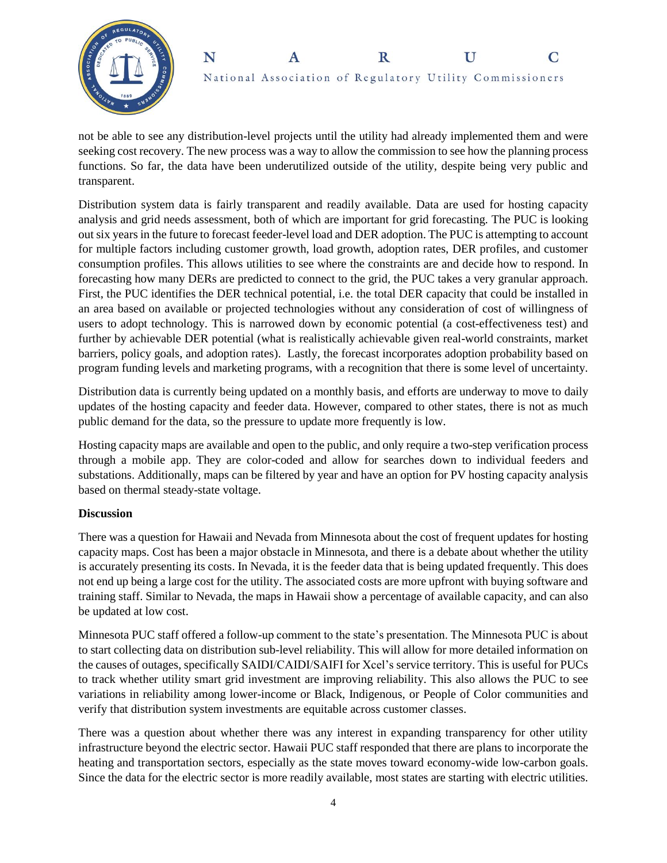



not be able to see any distribution-level projects until the utility had already implemented them and were seeking cost recovery. The new process was a way to allow the commission to see how the planning process functions. So far, the data have been underutilized outside of the utility, despite being very public and transparent.

Distribution system data is fairly transparent and readily available. Data are used for hosting capacity analysis and grid needs assessment, both of which are important for grid forecasting. The PUC is looking out six years in the future to forecast feeder-level load and DER adoption. The PUC is attempting to account for multiple factors including customer growth, load growth, adoption rates, DER profiles, and customer consumption profiles. This allows utilities to see where the constraints are and decide how to respond. In forecasting how many DERs are predicted to connect to the grid, the PUC takes a very granular approach. First, the PUC identifies the DER technical potential, i.e. the total DER capacity that could be installed in an area based on available or projected technologies without any consideration of cost of willingness of users to adopt technology. This is narrowed down by economic potential (a cost-effectiveness test) and further by achievable DER potential (what is realistically achievable given real-world constraints, market barriers, policy goals, and adoption rates). Lastly, the forecast incorporates adoption probability based on program funding levels and marketing programs, with a recognition that there is some level of uncertainty.

Distribution data is currently being updated on a monthly basis, and efforts are underway to move to daily updates of the hosting capacity and feeder data. However, compared to other states, there is not as much public demand for the data, so the pressure to update more frequently is low.

Hosting capacity maps are available and open to the public, and only require a two-step verification process through a mobile app. They are color-coded and allow for searches down to individual feeders and substations. Additionally, maps can be filtered by year and have an option for PV hosting capacity analysis based on thermal steady-state voltage.

## **Discussion**

There was a question for Hawaii and Nevada from Minnesota about the cost of frequent updates for hosting capacity maps. Cost has been a major obstacle in Minnesota, and there is a debate about whether the utility is accurately presenting its costs. In Nevada, it is the feeder data that is being updated frequently. This does not end up being a large cost for the utility. The associated costs are more upfront with buying software and training staff. Similar to Nevada, the maps in Hawaii show a percentage of available capacity, and can also be updated at low cost.

Minnesota PUC staff offered a follow-up comment to the state's presentation. The Minnesota PUC is about to start collecting data on distribution sub-level reliability. This will allow for more detailed information on the causes of outages, specifically SAIDI/CAIDI/SAIFI for Xcel's service territory. This is useful for PUCs to track whether utility smart grid investment are improving reliability. This also allows the PUC to see variations in reliability among lower-income or Black, Indigenous, or People of Color communities and verify that distribution system investments are equitable across customer classes.

There was a question about whether there was any interest in expanding transparency for other utility infrastructure beyond the electric sector. Hawaii PUC staff responded that there are plans to incorporate the heating and transportation sectors, especially as the state moves toward economy-wide low-carbon goals. Since the data for the electric sector is more readily available, most states are starting with electric utilities.